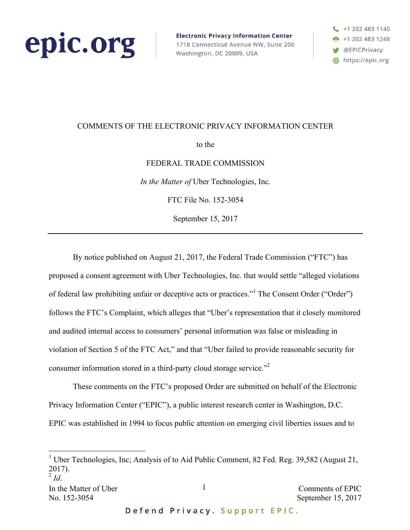

**Electronic Privacy Information Center** 1718 Connecticut Avenue NW, Suite 200 Washington, DC 20009, USA



### COMMENTS OF THE ELECTRONIC PRIVACY INFORMATION CENTER

to the

#### FEDERAL TRADE COMMISSION

*In the Matter of* Uber Technologies, Inc.

FTC File No. 152-3054

September 15, 2017

By notice published on August 21, 2017, the Federal Trade Commission ("FTC") has proposed a consent agreement with Uber Technologies, Inc. that would settle "alleged violations of federal law prohibiting unfair or deceptive acts or practices."<sup>1</sup> The Consent Order ("Order") follows the FTC's Complaint, which alleges that "Uber's representation that it closely monitored and audited internal access to consumers' personal information was false or misleading in violation of Section 5 of the FTC Act," and that "Uber failed to provide reasonable security for consumer information stored in a third-party cloud storage service."<sup>2</sup>

These comments on the FTC's proposed Order are submitted on behalf of the Electronic Privacy Information Center ("EPIC"), a public interest research center in Washington, D.C. EPIC was established in 1994 to focus public attention on emerging civil liberties issues and to

<sup>&</sup>lt;sup>1</sup> Uber Technologies, Inc; Analysis of to Aid Public Comment, 82 Fed. Reg. 39,582 (August 21, 2017).

 $^{2}$  *Id*.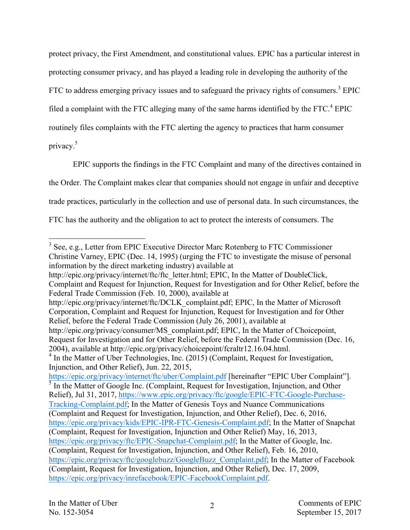protect privacy, the First Amendment, and constitutional values. EPIC has a particular interest in protecting consumer privacy, and has played a leading role in developing the authority of the FTC to address emerging privacy issues and to safeguard the privacy rights of consumers.<sup>3</sup> EPIC filed a complaint with the FTC alleging many of the same harms identified by the FTC.<sup>4</sup> EPIC routinely files complaints with the FTC alerting the agency to practices that harm consumer privacy.<sup>5</sup>

EPIC supports the findings in the FTC Complaint and many of the directives contained in the Order. The Complaint makes clear that companies should not engage in unfair and deceptive trade practices, particularly in the collection and use of personal data. In such circumstances, the FTC has the authority and the obligation to act to protect the interests of consumers. The

http://epic.org/privacy/internet/ftc/ftc\_letter.html; EPIC, In the Matter of DoubleClick, Complaint and Request for Injunction, Request for Investigation and for Other Relief, before the Federal Trade Commission (Feb. 10, 2000), available at

http://epic.org/privacy/internet/ftc/DCLK\_complaint.pdf; EPIC, In the Matter of Microsoft Corporation, Complaint and Request for Injunction, Request for Investigation and for Other Relief, before the Federal Trade Commission (July 26, 2001), available at

<sup>&</sup>lt;sup>3</sup> See, e.g., Letter from EPIC Executive Director Marc Rotenberg to FTC Commissioner Christine Varney, EPIC (Dec. 14, 1995) (urging the FTC to investigate the misuse of personal information by the direct marketing industry) available at

http://epic.org/privacy/consumer/MS\_complaint.pdf; EPIC, In the Matter of Choicepoint, Request for Investigation and for Other Relief, before the Federal Trade Commission (Dec. 16, 2004), available at http://epic.org/privacy/choicepoint/fcraltr12.16.04.html.

<sup>&</sup>lt;sup>4</sup> In the Matter of Uber Technologies, Inc. (2015) (Complaint, Request for Investigation, Injunction, and Other Relief), Jun. 22, 2015,

https://epic.org/privacy/internet/ftc/uber/Complaint.pdf [hereinafter "EPIC Uber Complaint"].  $\frac{1}{5}$  In the Matter of Google Inc. (Complaint, Request for Investigation, Injunction, and Other Relief), Jul 31, 2017, https://www.epic.org/privacy/ftc/google/EPIC-FTC-Google-Purchase-Tracking-Complaint.pdf; In the Matter of Genesis Toys and Nuance Communications (Complaint and Request for Investigation, Injunction, and Other Relief), Dec. 6, 2016, https://epic.org/privacy/kids/EPIC-IPR-FTC-Genesis-Complaint.pdf; In the Matter of Snapchat (Complaint, Request for Investigation, Injunction and Other Relief) May, 16, 2013, https://epic.org/privacy/ftc/EPIC-Snapchat-Complaint.pdf; In the Matter of Google, Inc. (Complaint, Request for Investigation, Injunction, and Other Relief), Feb. 16, 2010, https://epic.org/privacy/ftc/googlebuzz/GoogleBuzz\_Complaint.pdf; In the Matter of Facebook

<sup>(</sup>Complaint, Request for Investigation, Injunction, and Other Relief), Dec. 17, 2009, https://epic.org/privacy/inrefacebook/EPIC-FacebookComplaint.pdf.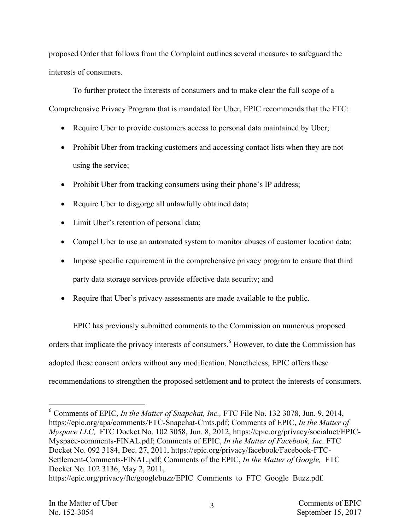proposed Order that follows from the Complaint outlines several measures to safeguard the interests of consumers.

To further protect the interests of consumers and to make clear the full scope of a Comprehensive Privacy Program that is mandated for Uber, EPIC recommends that the FTC:

- Require Uber to provide customers access to personal data maintained by Uber;
- Prohibit Uber from tracking customers and accessing contact lists when they are not using the service;
- Prohibit Uber from tracking consumers using their phone's IP address;
- Require Uber to disgorge all unlawfully obtained data;
- Limit Uber's retention of personal data;
- Compel Uber to use an automated system to monitor abuses of customer location data;
- Impose specific requirement in the comprehensive privacy program to ensure that third party data storage services provide effective data security; and
- Require that Uber's privacy assessments are made available to the public.

EPIC has previously submitted comments to the Commission on numerous proposed orders that implicate the privacy interests of consumers.<sup>6</sup> However, to date the Commission has adopted these consent orders without any modification. Nonetheless, EPIC offers these recommendations to strengthen the proposed settlement and to protect the interests of consumers.

 <sup>6</sup> Comments of EPIC, *In the Matter of Snapchat, Inc.,* FTC File No. 132 3078, Jun. 9, 2014, https://epic.org/apa/comments/FTC-Snapchat-Cmts.pdf; Comments of EPIC, *In the Matter of Myspace LLC,* FTC Docket No. 102 3058, Jun. 8, 2012, https://epic.org/privacy/socialnet/EPIC-Myspace-comments-FINAL.pdf; Comments of EPIC, *In the Matter of Facebook, Inc.* FTC Docket No. 092 3184, Dec. 27, 2011, https://epic.org/privacy/facebook/Facebook-FTC-Settlement-Comments-FINAL.pdf; Comments of the EPIC, *In the Matter of Google,* FTC Docket No. 102 3136, May 2, 2011,

https://epic.org/privacy/ftc/googlebuzz/EPIC\_Comments\_to\_FTC\_Google\_Buzz.pdf.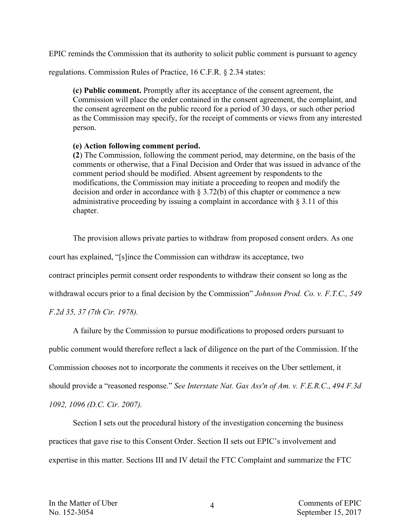EPIC reminds the Commission that its authority to solicit public comment is pursuant to agency

regulations. Commission Rules of Practice, 16 C.F.R. § 2.34 states:

**(c) Public comment.** Promptly after its acceptance of the consent agreement, the Commission will place the order contained in the consent agreement, the complaint, and the consent agreement on the public record for a period of 30 days, or such other period as the Commission may specify, for the receipt of comments or views from any interested person.

# **(e) Action following comment period.**

**(2**) The Commission, following the comment period, may determine, on the basis of the comments or otherwise, that a Final Decision and Order that was issued in advance of the comment period should be modified. Absent agreement by respondents to the modifications, the Commission may initiate a proceeding to reopen and modify the decision and order in accordance with  $\S 3.72(b)$  of this chapter or commence a new administrative proceeding by issuing a complaint in accordance with § 3.11 of this chapter.

The provision allows private parties to withdraw from proposed consent orders. As one

court has explained, "[s]ince the Commission can withdraw its acceptance, two

contract principles permit consent order respondents to withdraw their consent so long as the

withdrawal occurs prior to a final decision by the Commission" *Johnson Prod. Co. v. F.T.C., 549*

*F.2d 35, 37 (7th Cir. 1978).*

A failure by the Commission to pursue modifications to proposed orders pursuant to

public comment would therefore reflect a lack of diligence on the part of the Commission. If the

Commission chooses not to incorporate the comments it receives on the Uber settlement, it

should provide a "reasoned response." *See Interstate Nat. Gas Ass'n of Am. v. F.E.R.C*., *494 F.3d*

*1092, 1096 (D.C. Cir. 2007).*

Section I sets out the procedural history of the investigation concerning the business practices that gave rise to this Consent Order. Section II sets out EPIC's involvement and expertise in this matter. Sections III and IV detail the FTC Complaint and summarize the FTC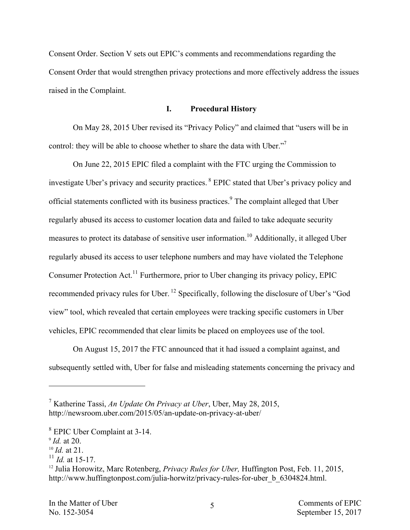Consent Order. Section V sets out EPIC's comments and recommendations regarding the Consent Order that would strengthen privacy protections and more effectively address the issues raised in the Complaint.

### **I. Procedural History**

On May 28, 2015 Uber revised its "Privacy Policy" and claimed that "users will be in control: they will be able to choose whether to share the data with Uber."<sup>7</sup>

On June 22, 2015 EPIC filed a complaint with the FTC urging the Commission to investigate Uber's privacy and security practices. <sup>8</sup> EPIC stated that Uber's privacy policy and official statements conflicted with its business practices.<sup>9</sup> The complaint alleged that Uber regularly abused its access to customer location data and failed to take adequate security measures to protect its database of sensitive user information.<sup>10</sup> Additionally, it alleged Uber regularly abused its access to user telephone numbers and may have violated the Telephone Consumer Protection Act.<sup>11</sup> Furthermore, prior to Uber changing its privacy policy, EPIC recommended privacy rules for Uber. <sup>12</sup> Specifically, following the disclosure of Uber's "God view" tool, which revealed that certain employees were tracking specific customers in Uber vehicles, EPIC recommended that clear limits be placed on employees use of the tool.

On August 15, 2017 the FTC announced that it had issued a complaint against, and subsequently settled with, Uber for false and misleading statements concerning the privacy and

1

- <sup>10</sup> *Id.* at 21.
- $^{11}$  *Id.* at 15-17.

<sup>7</sup> Katherine Tassi, *An Update On Privacy at Uber*, Uber, May 28, 2015, http://newsroom.uber.com/2015/05/an-update-on-privacy-at-uber/

<sup>8</sup> EPIC Uber Complaint at 3-14.

<sup>9</sup> *Id.* at 20.

<sup>12</sup> Julia Horowitz, Marc Rotenberg, *Privacy Rules for Uber,* Huffington Post, Feb. 11, 2015, http://www.huffingtonpost.com/julia-horwitz/privacy-rules-for-uber\_b\_6304824.html.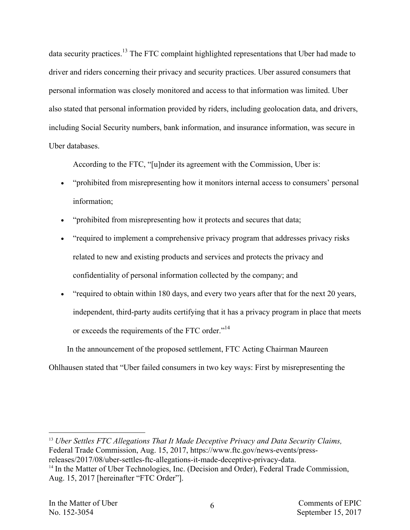data security practices.<sup>13</sup> The FTC complaint highlighted representations that Uber had made to driver and riders concerning their privacy and security practices. Uber assured consumers that personal information was closely monitored and access to that information was limited. Uber also stated that personal information provided by riders, including geolocation data, and drivers, including Social Security numbers, bank information, and insurance information, was secure in Uber databases.

According to the FTC, "[u]nder its agreement with the Commission, Uber is:

- "prohibited from misrepresenting how it monitors internal access to consumers' personal information;
- "prohibited from misrepresenting how it protects and secures that data;
- "required to implement a comprehensive privacy program that addresses privacy risks related to new and existing products and services and protects the privacy and confidentiality of personal information collected by the company; and
- "required to obtain within 180 days, and every two years after that for the next 20 years, independent, third-party audits certifying that it has a privacy program in place that meets or exceeds the requirements of the FTC order."<sup>14</sup>

In the announcement of the proposed settlement, FTC Acting Chairman Maureen

Ohlhausen stated that "Uber failed consumers in two key ways: First by misrepresenting the

<sup>13</sup> *Uber Settles FTC Allegations That It Made Deceptive Privacy and Data Security Claims,* Federal Trade Commission, Aug. 15, 2017, https://www.ftc.gov/news-events/pressreleases/2017/08/uber-settles-ftc-allegations-it-made-deceptive-privacy-data.

<sup>&</sup>lt;sup>14</sup> In the Matter of Uber Technologies, Inc. (Decision and Order), Federal Trade Commission, Aug. 15, 2017 [hereinafter "FTC Order"].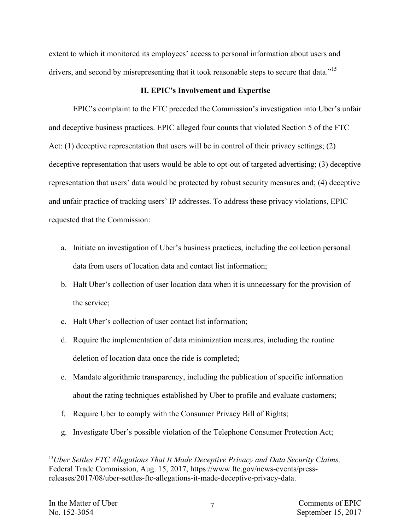extent to which it monitored its employees' access to personal information about users and drivers, and second by misrepresenting that it took reasonable steps to secure that data."<sup>15</sup>

# **II. EPIC's Involvement and Expertise**

EPIC's complaint to the FTC preceded the Commission's investigation into Uber's unfair and deceptive business practices. EPIC alleged four counts that violated Section 5 of the FTC Act: (1) deceptive representation that users will be in control of their privacy settings; (2) deceptive representation that users would be able to opt-out of targeted advertising; (3) deceptive representation that users' data would be protected by robust security measures and; (4) deceptive and unfair practice of tracking users' IP addresses. To address these privacy violations, EPIC requested that the Commission:

- a. Initiate an investigation of Uber's business practices, including the collection personal data from users of location data and contact list information;
- b. Halt Uber's collection of user location data when it is unnecessary for the provision of the service;
- c. Halt Uber's collection of user contact list information;
- d. Require the implementation of data minimization measures, including the routine deletion of location data once the ride is completed;
- e. Mandate algorithmic transparency, including the publication of specific information about the rating techniques established by Uber to profile and evaluate customers;
- f. Require Uber to comply with the Consumer Privacy Bill of Rights;
- g. Investigate Uber's possible violation of the Telephone Consumer Protection Act;

 <sup>15</sup>*Uber Settles FTC Allegations That It Made Deceptive Privacy and Data Security Claims,*  Federal Trade Commission, Aug. 15, 2017, https://www.ftc.gov/news-events/pressreleases/2017/08/uber-settles-ftc-allegations-it-made-deceptive-privacy-data.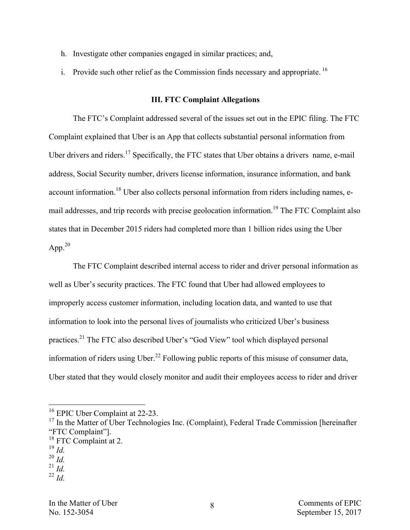- h. Investigate other companies engaged in similar practices; and,
- i. Provide such other relief as the Commission finds necessary and appropriate.  $^{16}$

# **III. FTC Complaint Allegations**

The FTC's Complaint addressed several of the issues set out in the EPIC filing. The FTC Complaint explained that Uber is an App that collects substantial personal information from Uber drivers and riders.<sup>17</sup> Specifically, the FTC states that Uber obtains a drivers name, e-mail address, Social Security number, drivers license information, insurance information, and bank account information.<sup>18</sup> Uber also collects personal information from riders including names, email addresses, and trip records with precise geolocation information.<sup>19</sup> The FTC Complaint also states that in December 2015 riders had completed more than 1 billion rides using the Uber App. $^{20}$ 

The FTC Complaint described internal access to rider and driver personal information as well as Uber's security practices. The FTC found that Uber had allowed employees to improperly access customer information, including location data, and wanted to use that information to look into the personal lives of journalists who criticized Uber's business practices.21 The FTC also described Uber's "God View" tool which displayed personal information of riders using Uber.<sup>22</sup> Following public reports of this misuse of consumer data, Uber stated that they would closely monitor and audit their employees access to rider and driver

 $^{19}$  *Id.* 

<sup>&</sup>lt;sup>16</sup> EPIC Uber Complaint at 22-23.<br><sup>17</sup> In the Matter of Uber Technologies Inc. (Complaint), Federal Trade Commission [hereinafter "FTC Complaint"].

<sup>&</sup>lt;sup>18</sup> FTC Complaint at 2.

 $^{20}$  *Id.* 

<sup>21</sup> *Id.*

<sup>22</sup> *Id.*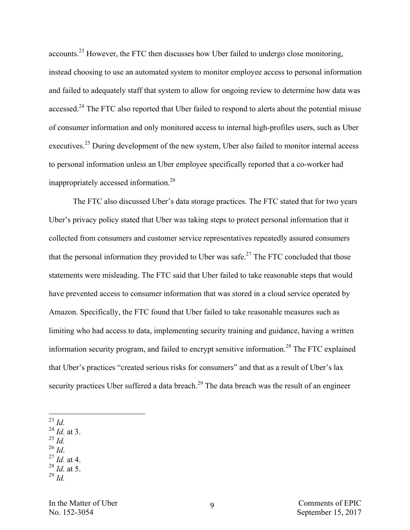accounts.<sup>23</sup> However, the FTC then discusses how Uber failed to undergo close monitoring, instead choosing to use an automated system to monitor employee access to personal information and failed to adequately staff that system to allow for ongoing review to determine how data was accessed.<sup>24</sup> The FTC also reported that Uber failed to respond to alerts about the potential misuse of consumer information and only monitored access to internal high-profiles users, such as Uber executives.<sup>25</sup> During development of the new system, Uber also failed to monitor internal access to personal information unless an Uber employee specifically reported that a co-worker had inappropriately accessed information.<sup>26</sup>

The FTC also discussed Uber's data storage practices. The FTC stated that for two years Uber's privacy policy stated that Uber was taking steps to protect personal information that it collected from consumers and customer service representatives repeatedly assured consumers that the personal information they provided to Uber was safe.<sup>27</sup> The FTC concluded that those statements were misleading. The FTC said that Uber failed to take reasonable steps that would have prevented access to consumer information that was stored in a cloud service operated by Amazon. Specifically, the FTC found that Uber failed to take reasonable measures such as limiting who had access to data, implementing security training and guidance, having a written information security program, and failed to encrypt sensitive information.<sup>28</sup> The FTC explained that Uber's practices "created serious risks for consumers" and that as a result of Uber's lax security practices Uber suffered a data breach.<sup>29</sup> The data breach was the result of an engineer

23 *Id.*

- $^{24}$  *Id.* at 3.
- $\frac{^{25}}{^{26}}$ *Id.*
- 
- $^{27}$  *Id.* at 4.
- $^{28}$  *Id.* at 5. <sup>29</sup> *Id.*
- In the Matter of Uber Comments of EPIC No. 152-3054 September 15, 2017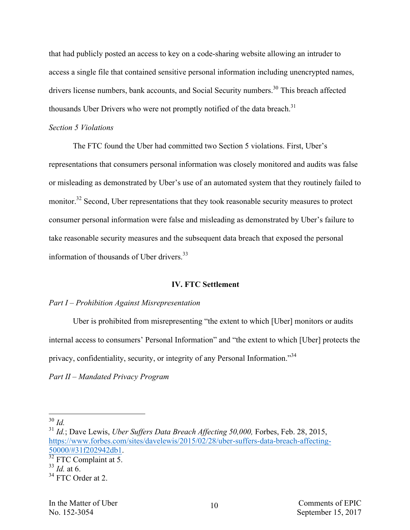that had publicly posted an access to key on a code-sharing website allowing an intruder to access a single file that contained sensitive personal information including unencrypted names, drivers license numbers, bank accounts, and Social Security numbers.<sup>30</sup> This breach affected thousands Uber Drivers who were not promptly notified of the data breach.<sup>31</sup>

## *Section 5 Violations*

The FTC found the Uber had committed two Section 5 violations. First, Uber's representations that consumers personal information was closely monitored and audits was false or misleading as demonstrated by Uber's use of an automated system that they routinely failed to monitor.<sup>32</sup> Second, Uber representations that they took reasonable security measures to protect consumer personal information were false and misleading as demonstrated by Uber's failure to take reasonable security measures and the subsequent data breach that exposed the personal information of thousands of Uber drivers.<sup>33</sup>

# **IV. FTC Settlement**

# *Part I – Prohibition Against Misrepresentation*

Uber is prohibited from misrepresenting "the extent to which [Uber] monitors or audits internal access to consumers' Personal Information" and "the extent to which [Uber] protects the privacy, confidentiality, security, or integrity of any Personal Information."<sup>34</sup>

*Part II – Mandated Privacy Program*

 <sup>30</sup> *Id.*

<sup>&</sup>lt;sup>31</sup> Id.; Dave Lewis, *Uber Suffers Data Breach Affecting 50,000*, Forbes, Feb. 28, 2015, https://www.forbes.com/sites/davelewis/2015/02/28/uber-suffers-data-breach-affecting-<br>50000/#31f202942db1.

 $\frac{32}{32}$  FTC Complaint at 5.

<sup>33</sup> *Id.* at 6.

<sup>&</sup>lt;sup>34</sup> FTC Order at 2.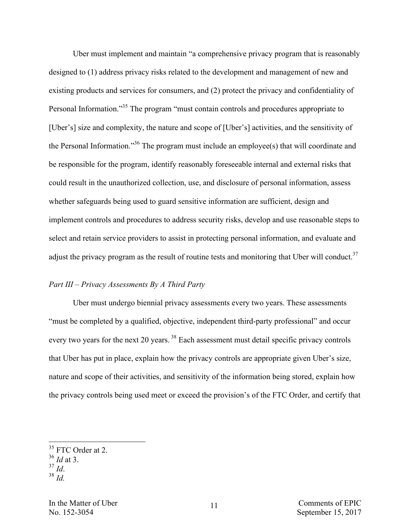Uber must implement and maintain "a comprehensive privacy program that is reasonably designed to (1) address privacy risks related to the development and management of new and existing products and services for consumers, and (2) protect the privacy and confidentiality of Personal Information."35 The program "must contain controls and procedures appropriate to [Uber's] size and complexity, the nature and scope of [Uber's] activities, and the sensitivity of the Personal Information."<sup>36</sup> The program must include an employee(s) that will coordinate and be responsible for the program, identify reasonably foreseeable internal and external risks that could result in the unauthorized collection, use, and disclosure of personal information, assess whether safeguards being used to guard sensitive information are sufficient, design and implement controls and procedures to address security risks, develop and use reasonable steps to select and retain service providers to assist in protecting personal information, and evaluate and adjust the privacy program as the result of routine tests and monitoring that Uber will conduct.<sup>37</sup>

# *Part III – Privacy Assessments By A Third Party*

Uber must undergo biennial privacy assessments every two years. These assessments "must be completed by a qualified, objective, independent third-party professional" and occur every two years for the next 20 years.<sup>38</sup> Each assessment must detail specific privacy controls that Uber has put in place, explain how the privacy controls are appropriate given Uber's size, nature and scope of their activities, and sensitivity of the information being stored, explain how the privacy controls being used meet or exceed the provision's of the FTC Order, and certify that

<sup>&</sup>lt;sup>35</sup> FTC Order at 2.

 $\frac{36}{37}$  *Id* at 3.

 $38$  *Id.*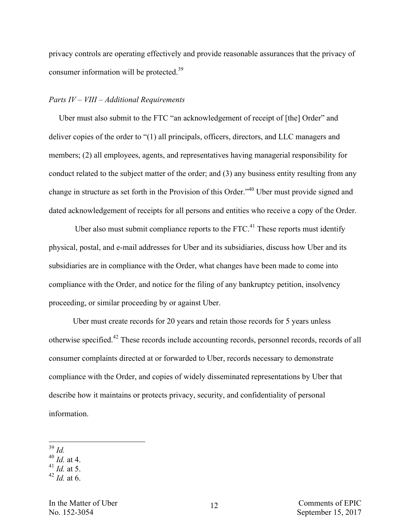privacy controls are operating effectively and provide reasonable assurances that the privacy of consumer information will be protected.<sup>39</sup>

# *Parts IV – VIII – Additional Requirements*

 Uber must also submit to the FTC "an acknowledgement of receipt of [the] Order" and deliver copies of the order to "(1) all principals, officers, directors, and LLC managers and members; (2) all employees, agents, and representatives having managerial responsibility for conduct related to the subject matter of the order; and (3) any business entity resulting from any change in structure as set forth in the Provision of this Order."40 Uber must provide signed and dated acknowledgement of receipts for all persons and entities who receive a copy of the Order.

Uber also must submit compliance reports to the  $\text{FTC}$ <sup>41</sup>. These reports must identify physical, postal, and e-mail addresses for Uber and its subsidiaries, discuss how Uber and its subsidiaries are in compliance with the Order, what changes have been made to come into compliance with the Order, and notice for the filing of any bankruptcy petition, insolvency proceeding, or similar proceeding by or against Uber.

Uber must create records for 20 years and retain those records for 5 years unless otherwise specified.<sup>42</sup> These records include accounting records, personnel records, records of all consumer complaints directed at or forwarded to Uber, records necessary to demonstrate compliance with the Order, and copies of widely disseminated representations by Uber that describe how it maintains or protects privacy, security, and confidentiality of personal information.

 39 *Id.* <sup>40</sup> *Id.* at 4.

 $^{41}$  *Id.* at 5.

<sup>42</sup> *Id.* at 6.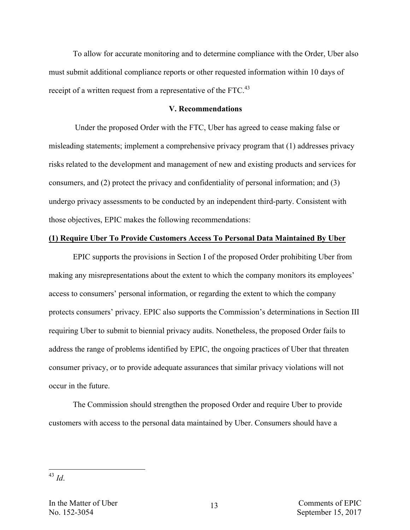To allow for accurate monitoring and to determine compliance with the Order, Uber also must submit additional compliance reports or other requested information within 10 days of receipt of a written request from a representative of the FTC.<sup>43</sup>

#### **V. Recommendations**

Under the proposed Order with the FTC, Uber has agreed to cease making false or misleading statements; implement a comprehensive privacy program that (1) addresses privacy risks related to the development and management of new and existing products and services for consumers, and (2) protect the privacy and confidentiality of personal information; and (3) undergo privacy assessments to be conducted by an independent third-party. Consistent with those objectives, EPIC makes the following recommendations:

#### **(1) Require Uber To Provide Customers Access To Personal Data Maintained By Uber**

EPIC supports the provisions in Section I of the proposed Order prohibiting Uber from making any misrepresentations about the extent to which the company monitors its employees' access to consumers' personal information, or regarding the extent to which the company protects consumers' privacy. EPIC also supports the Commission's determinations in Section III requiring Uber to submit to biennial privacy audits. Nonetheless, the proposed Order fails to address the range of problems identified by EPIC, the ongoing practices of Uber that threaten consumer privacy, or to provide adequate assurances that similar privacy violations will not occur in the future.

The Commission should strengthen the proposed Order and require Uber to provide customers with access to the personal data maintained by Uber. Consumers should have a

 <sup>43</sup> *Id*.

In the Matter of Uber  $\frac{12}{2}$  Comments of EPIC No. 152-3054 September 15, 2017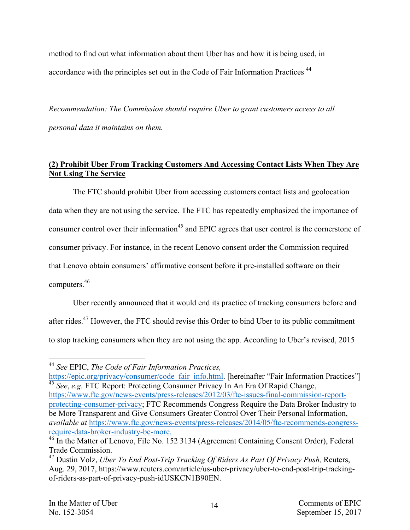method to find out what information about them Uber has and how it is being used, in accordance with the principles set out in the Code of Fair Information Practices<sup>44</sup>

*Recommendation: The Commission should require Uber to grant customers access to all personal data it maintains on them.*

# **(2) Prohibit Uber From Tracking Customers And Accessing Contact Lists When They Are Not Using The Service**

The FTC should prohibit Uber from accessing customers contact lists and geolocation data when they are not using the service. The FTC has repeatedly emphasized the importance of consumer control over their information<sup>45</sup> and EPIC agrees that user control is the cornerstone of consumer privacy. For instance, in the recent Lenovo consent order the Commission required that Lenovo obtain consumers' affirmative consent before it pre-installed software on their computers.<sup>46</sup>

Uber recently announced that it would end its practice of tracking consumers before and after rides.<sup>47</sup> However, the FTC should revise this Order to bind Uber to its public commitment to stop tracking consumers when they are not using the app. According to Uber's revised, 2015

 <sup>44</sup> *See* EPIC, *The Code of Fair Information Practices,* 

https://epic.org/privacy/consumer/code\_fair\_info.html. [hereinafter "Fair Information Practices"] <sup>45</sup> *See*, *e.g.* FTC Report: Protecting Consumer Privacy In An Era Of Rapid Change,

https://www.ftc.gov/news-events/press-releases/2012/03/ftc-issues-final-commission-reportprotecting-consumer-privacy; FTC Recommends Congress Require the Data Broker Industry to be More Transparent and Give Consumers Greater Control Over Their Personal Information, *available at* https://www.ftc.gov/news-events/press-releases/2014/05/ftc-recommends-congressrequire-data-broker-industry-be-more.<br><sup>46</sup> In the Matter of Lenovo, File No. 152 3134 (Agreement Containing Consent Order), Federal

Trade Commission.

<sup>47</sup> Dustin Volz, *Uber To End Post-Trip Tracking Of Riders As Part Of Privacy Push,* Reuters, Aug. 29, 2017, https://www.reuters.com/article/us-uber-privacy/uber-to-end-post-trip-trackingof-riders-as-part-of-privacy-push-idUSKCN1B90EN.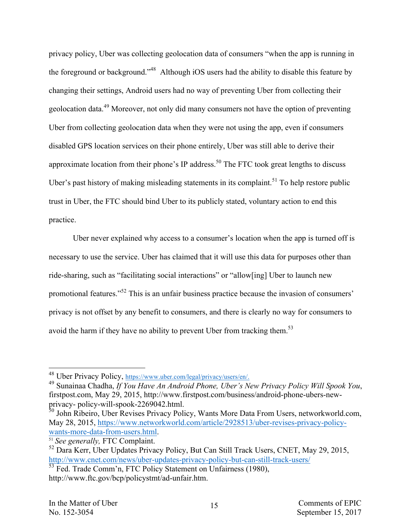privacy policy, Uber was collecting geolocation data of consumers "when the app is running in the foreground or background."48 Although iOS users had the ability to disable this feature by changing their settings, Android users had no way of preventing Uber from collecting their geolocation data.<sup>49</sup> Moreover, not only did many consumers not have the option of preventing Uber from collecting geolocation data when they were not using the app, even if consumers disabled GPS location services on their phone entirely, Uber was still able to derive their approximate location from their phone's IP address.<sup>50</sup> The FTC took great lengths to discuss Uber's past history of making misleading statements in its complaint.<sup>51</sup> To help restore public trust in Uber, the FTC should bind Uber to its publicly stated, voluntary action to end this practice.

Uber never explained why access to a consumer's location when the app is turned off is necessary to use the service. Uber has claimed that it will use this data for purposes other than ride-sharing, such as "facilitating social interactions" or "allow[ing] Uber to launch new promotional features."<sup>52</sup> This is an unfair business practice because the invasion of consumers' privacy is not offset by any benefit to consumers, and there is clearly no way for consumers to avoid the harm if they have no ability to prevent Uber from tracking them.<sup>53</sup>

<sup>48</sup> Uber Privacy Policy, https://www.uber.com/legal/privacy/users/en/. <sup>49</sup> Sunainaa Chadha, *If You Have An Android Phone, Uber's New Privacy Policy Will Spook You*, firstpost.com, May 29, 2015, http://www.firstpost.com/business/android-phone-ubers-new-

 $50$  John Ribeiro, Uber Revises Privacy Policy, Wants More Data From Users, networkworld.com, May 28, 2015, https://www.networkworld.com/article/2928513/uber-revises-privacy-policywants-more-data-from-users.html.

<sup>51</sup> *See generally,* FTC Complaint.

<sup>52</sup> Dara Kerr, Uber Updates Privacy Policy, But Can Still Track Users, CNET, May 29, 2015, http://www.cnet.com/news/uber-updates-privacy-policy-but-can-still-track-users/

<sup>&</sup>lt;sup>53</sup> Fed. Trade Comm'n, FTC Policy Statement on Unfairness (1980), http://www.ftc.gov/bcp/policystmt/ad-unfair.htm.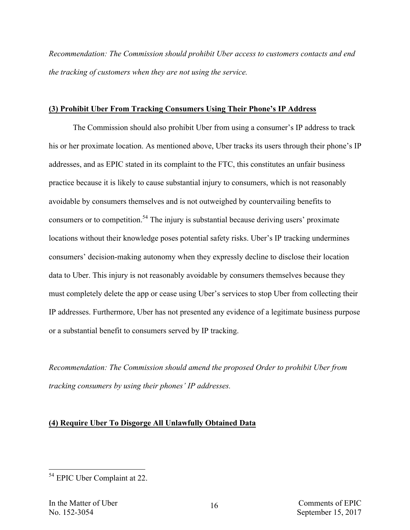*Recommendation: The Commission should prohibit Uber access to customers contacts and end the tracking of customers when they are not using the service.*

## **(3) Prohibit Uber From Tracking Consumers Using Their Phone's IP Address**

The Commission should also prohibit Uber from using a consumer's IP address to track his or her proximate location. As mentioned above, Uber tracks its users through their phone's IP addresses, and as EPIC stated in its complaint to the FTC, this constitutes an unfair business practice because it is likely to cause substantial injury to consumers, which is not reasonably avoidable by consumers themselves and is not outweighed by countervailing benefits to consumers or to competition.<sup>54</sup> The injury is substantial because deriving users' proximate locations without their knowledge poses potential safety risks. Uber's IP tracking undermines consumers' decision-making autonomy when they expressly decline to disclose their location data to Uber. This injury is not reasonably avoidable by consumers themselves because they must completely delete the app or cease using Uber's services to stop Uber from collecting their IP addresses. Furthermore, Uber has not presented any evidence of a legitimate business purpose or a substantial benefit to consumers served by IP tracking.

*Recommendation: The Commission should amend the proposed Order to prohibit Uber from tracking consumers by using their phones' IP addresses.*

# **(4) Require Uber To Disgorge All Unlawfully Obtained Data**

 <sup>54</sup> EPIC Uber Complaint at 22.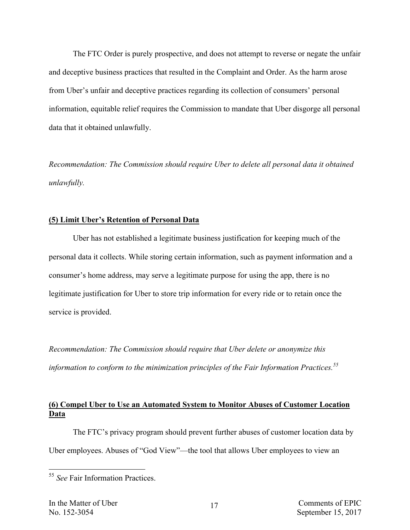The FTC Order is purely prospective, and does not attempt to reverse or negate the unfair and deceptive business practices that resulted in the Complaint and Order. As the harm arose from Uber's unfair and deceptive practices regarding its collection of consumers' personal information, equitable relief requires the Commission to mandate that Uber disgorge all personal data that it obtained unlawfully.

*Recommendation: The Commission should require Uber to delete all personal data it obtained unlawfully.*

# **(5) Limit Uber's Retention of Personal Data**

Uber has not established a legitimate business justification for keeping much of the personal data it collects. While storing certain information, such as payment information and a consumer's home address, may serve a legitimate purpose for using the app, there is no legitimate justification for Uber to store trip information for every ride or to retain once the service is provided.

*Recommendation: The Commission should require that Uber delete or anonymize this information to conform to the minimization principles of the Fair Information Practices.55*

# **(6) Compel Uber to Use an Automated System to Monitor Abuses of Customer Location Data**

The FTC's privacy program should prevent further abuses of customer location data by Uber employees. Abuses of "God View"—the tool that allows Uber employees to view an

 <sup>55</sup> *See* Fair Information Practices.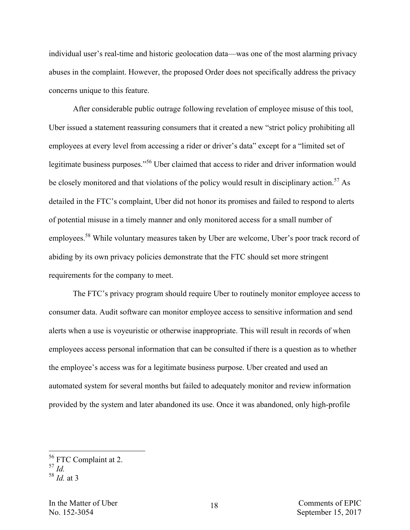individual user's real-time and historic geolocation data—was one of the most alarming privacy abuses in the complaint. However, the proposed Order does not specifically address the privacy concerns unique to this feature.

After considerable public outrage following revelation of employee misuse of this tool, Uber issued a statement reassuring consumers that it created a new "strict policy prohibiting all employees at every level from accessing a rider or driver's data" except for a "limited set of legitimate business purposes."<sup>56</sup> Uber claimed that access to rider and driver information would be closely monitored and that violations of the policy would result in disciplinary action.<sup>57</sup> As detailed in the FTC's complaint, Uber did not honor its promises and failed to respond to alerts of potential misuse in a timely manner and only monitored access for a small number of employees.<sup>58</sup> While voluntary measures taken by Uber are welcome, Uber's poor track record of abiding by its own privacy policies demonstrate that the FTC should set more stringent requirements for the company to meet.

The FTC's privacy program should require Uber to routinely monitor employee access to consumer data. Audit software can monitor employee access to sensitive information and send alerts when a use is voyeuristic or otherwise inappropriate. This will result in records of when employees access personal information that can be consulted if there is a question as to whether the employee's access was for a legitimate business purpose. Uber created and used an automated system for several months but failed to adequately monitor and review information provided by the system and later abandoned its use. Once it was abandoned, only high-profile

<sup>56</sup> FTC Complaint at 2. 57 *Id.*

<sup>58</sup> *Id.* at 3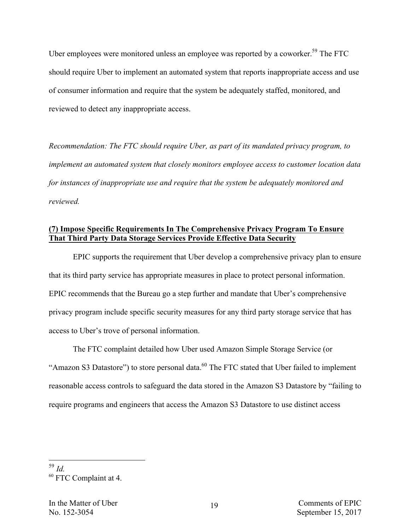Uber employees were monitored unless an employee was reported by a coworker.<sup>59</sup> The FTC should require Uber to implement an automated system that reports inappropriate access and use of consumer information and require that the system be adequately staffed, monitored, and reviewed to detect any inappropriate access.

*Recommendation: The FTC should require Uber, as part of its mandated privacy program, to implement an automated system that closely monitors employee access to customer location data for instances of inappropriate use and require that the system be adequately monitored and reviewed.* 

# **(7) Impose Specific Requirements In The Comprehensive Privacy Program To Ensure That Third Party Data Storage Services Provide Effective Data Security**

EPIC supports the requirement that Uber develop a comprehensive privacy plan to ensure that its third party service has appropriate measures in place to protect personal information. EPIC recommends that the Bureau go a step further and mandate that Uber's comprehensive privacy program include specific security measures for any third party storage service that has access to Uber's trove of personal information.

The FTC complaint detailed how Uber used Amazon Simple Storage Service (or "Amazon S3 Datastore") to store personal data.<sup>60</sup> The FTC stated that Uber failed to implement reasonable access controls to safeguard the data stored in the Amazon S3 Datastore by "failing to require programs and engineers that access the Amazon S3 Datastore to use distinct access

 <sup>59</sup> *Id.*

<sup>60</sup> FTC Complaint at 4.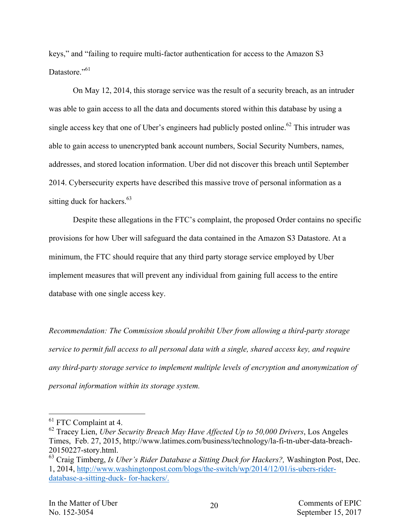keys," and "failing to require multi-factor authentication for access to the Amazon S3 Datastore<sup>"61</sup>

On May 12, 2014, this storage service was the result of a security breach, as an intruder was able to gain access to all the data and documents stored within this database by using a single access key that one of Uber's engineers had publicly posted online.<sup>62</sup> This intruder was able to gain access to unencrypted bank account numbers, Social Security Numbers, names, addresses, and stored location information. Uber did not discover this breach until September 2014. Cybersecurity experts have described this massive trove of personal information as a sitting duck for hackers.  $63$ 

Despite these allegations in the FTC's complaint, the proposed Order contains no specific provisions for how Uber will safeguard the data contained in the Amazon S3 Datastore. At a minimum, the FTC should require that any third party storage service employed by Uber implement measures that will prevent any individual from gaining full access to the entire database with one single access key.

*Recommendation: The Commission should prohibit Uber from allowing a third-party storage service to permit full access to all personal data with a single, shared access key, and require any third-party storage service to implement multiple levels of encryption and anonymization of personal information within its storage system.*

<sup>&</sup>lt;sup>61</sup> FTC Complaint at 4.

<sup>62</sup> Tracey Lien, *Uber Security Breach May Have Affected Up to 50,000 Drivers*, Los Angeles Times, Feb. 27, 2015, http://www.latimes.com/business/technology/la-fi-tn-uber-data-breach-20150227-story.html.<br><sup>63</sup> Craig Timberg, *Is Uber's Rider Database a Sitting Duck for Hackers?*, Washington Post, Dec.

<sup>1, 2014,</sup> http://www.washingtonpost.com/blogs/the-switch/wp/2014/12/01/is-ubers-riderdatabase-a-sitting-duck- for-hackers/.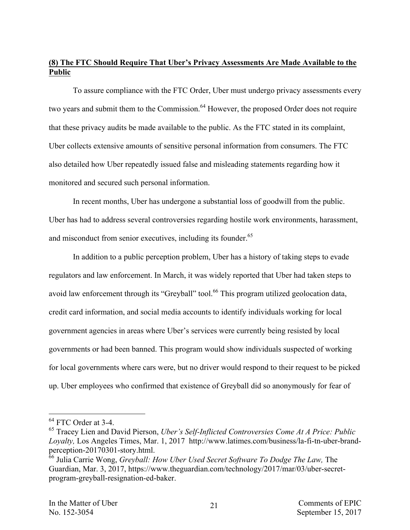# **(8) The FTC Should Require That Uber's Privacy Assessments Are Made Available to the Public**

To assure compliance with the FTC Order, Uber must undergo privacy assessments every two years and submit them to the Commission.<sup>64</sup> However, the proposed Order does not require that these privacy audits be made available to the public. As the FTC stated in its complaint, Uber collects extensive amounts of sensitive personal information from consumers. The FTC also detailed how Uber repeatedly issued false and misleading statements regarding how it monitored and secured such personal information.

In recent months, Uber has undergone a substantial loss of goodwill from the public. Uber has had to address several controversies regarding hostile work environments, harassment, and misconduct from senior executives, including its founder.<sup>65</sup>

In addition to a public perception problem, Uber has a history of taking steps to evade regulators and law enforcement. In March, it was widely reported that Uber had taken steps to avoid law enforcement through its "Greyball" tool.<sup>66</sup> This program utilized geolocation data, credit card information, and social media accounts to identify individuals working for local government agencies in areas where Uber's services were currently being resisted by local governments or had been banned. This program would show individuals suspected of working for local governments where cars were, but no driver would respond to their request to be picked up. Uber employees who confirmed that existence of Greyball did so anonymously for fear of

<sup>64</sup> FTC Order at 3-4. <sup>65</sup> Tracey Lien and David Pierson, *Uber's Self-Inflicted Controversies Come At A Price: Public Loyalty,* Los Angeles Times, Mar. 1, 2017 http://www.latimes.com/business/la-fi-tn-uber-brand-

<sup>&</sup>lt;sup>66</sup> Julia Carrie Wong, *Greyball: How Uber Used Secret Software To Dodge The Law*, The Guardian, Mar. 3, 2017, https://www.theguardian.com/technology/2017/mar/03/uber-secretprogram-greyball-resignation-ed-baker.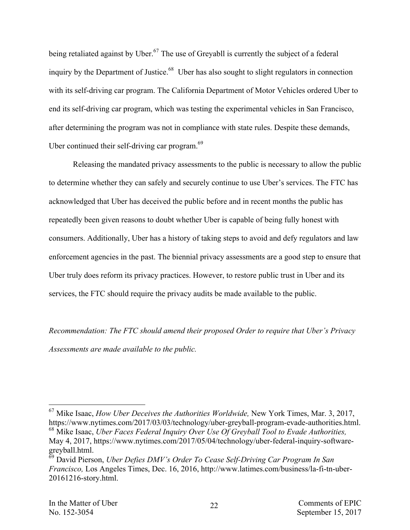being retaliated against by Uber.<sup>67</sup> The use of Greyabll is currently the subject of a federal inquiry by the Department of Justice.<sup>68</sup> Uber has also sought to slight regulators in connection with its self-driving car program. The California Department of Motor Vehicles ordered Uber to end its self-driving car program, which was testing the experimental vehicles in San Francisco, after determining the program was not in compliance with state rules. Despite these demands, Uber continued their self-driving car program. $^{69}$ 

Releasing the mandated privacy assessments to the public is necessary to allow the public to determine whether they can safely and securely continue to use Uber's services. The FTC has acknowledged that Uber has deceived the public before and in recent months the public has repeatedly been given reasons to doubt whether Uber is capable of being fully honest with consumers. Additionally, Uber has a history of taking steps to avoid and defy regulators and law enforcement agencies in the past. The biennial privacy assessments are a good step to ensure that Uber truly does reform its privacy practices. However, to restore public trust in Uber and its services, the FTC should require the privacy audits be made available to the public.

*Recommendation: The FTC should amend their proposed Order to require that Uber's Privacy Assessments are made available to the public.*

 <sup>67</sup> Mike Isaac, *How Uber Deceives the Authorities Worldwide,* New York Times, Mar. 3, 2017, https://www.nytimes.com/2017/03/03/technology/uber-greyball-program-evade-authorities.html.

<sup>68</sup> Mike Isaac, *Uber Faces Federal Inquiry Over Use Of Greyball Tool to Evade Authorities,*  May 4, 2017, https://www.nytimes.com/2017/05/04/technology/uber-federal-inquiry-softwaregreyball.html.

<sup>69</sup> David Pierson, *Uber Defies DMV's Order To Cease Self-Driving Car Program In San Francisco,* Los Angeles Times, Dec. 16, 2016, http://www.latimes.com/business/la-fi-tn-uber-20161216-story.html.